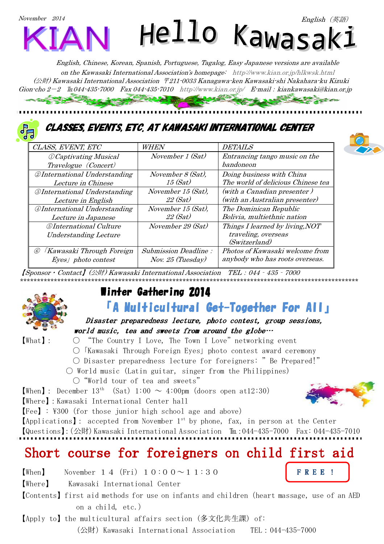# November 2014 Hello Kawasaki

*English, Chinese, Korean, Spanish, Portuguese, Tagalog, Easy Japanese versions are available on the Kawasaki International Association's homepage: http://www.kian.or.jp/hlkwsk.html (*公財*) Kawasaki International Association* 〒*211-0033 Kanagawa-ken Kawasaki-shi Nakahara-ku Kizuki Gion-cho 2*-*2* ℡*044-435-7000 Fax 044-435-7010 http://www.kian.or.jp/ E-mail*:*kiankawasaki@kian.or.jp*

#### CLASSES, EVENTS, ETC. AT KAWASAKI INTERNATIONAL CENTER



| CLASS, EVENT, ETC                                      | <i>WHEN</i>                  | <i>DETAILS</i>                     |
|--------------------------------------------------------|------------------------------|------------------------------------|
| <i><b>OCaptivating Musical</b></i>                     | November 1 (Sat)             | Entrancing tango music on the      |
| Travelogue (Concert)                                   |                              | bandoneon                          |
| <b><i>@International Understanding</i></b>             | November 8 (Sat),            | Doing business with China          |
| Lecture in Chinese                                     | 15(Sat)                      | The world of delicious Chinese tea |
| <b><i><u>@International Understanding</u></i></b>      | November 15 (Sat),           | (with a Canadian presenter)        |
| Lecture in English                                     | 22(Sat)                      | (with an Australian presenter)     |
| <b><i>@International Understanding</i></b>             | November 15 (Sat),           | The Dominican Republic             |
| Lecture in Japanese                                    | 22(Sat)                      | Bolivia, multiethnic nation        |
| <b><i><u><del>©International</del></u></i></b> Culture | November 29 (Sat)            | Things I learned by living, NOT    |
| <b>Understanding Lecture</b>                           |                              | traveling, overseas                |
|                                                        |                              | (Switzerland)                      |
| Kawasaki Through Foreign<br>$\left( 6\right)$          | <i>Submission Deadline :</i> | Photos of Kawasaki welcome from    |
| Eyes/ photo contest                                    | Nov. 25 (Tuesday)            | anybody who has roots overseas.    |

【Sponsor・Contact】(公財) Kawasaki International Association TEL:044‐435‐7000

#### \*\*\*\*\*\*\*\*\*\*\*\*\*\*\*\*\*\*\*\*\*\*\*\*\*\*\*\*\*\*\*\*\*\*\*\*\*\*\*\*\*\*\*\*\*\*\*\*\*\*\*\*\*\*\*\*\*\*\*\*\*\*\*\*\*\*\*\*\*\*\*\*\*\*\*\*\*\*\*\*\*\*\*\*\*\*\*\*\*\*\*\*\*\*\*\*\*\*\*\*



## 「A Multicultural Get-Together For All」

#### Disaster preparedness lecture, photo contest, group sessions, world music, tea and sweets from around the globe…

【What】: ○ "The Country I Love, The Town I Love"networking event ○「Kawasaki Through Foreign Eyes」photo contest award ceremony  $\bigcirc$  Disaster preparedness lecture for foreigners: " Be Prepared!"

 $\circ$  World music (Latin guitar, singer from the Philippines)

○ "World tour of tea and sweets"

**[When]**: December  $13<sup>th</sup>$  (Sat)  $1:00 \sim 4:00$ pm (doors open at12:30)

【Where】:Kawasaki International Center hall

【Fee】: \300(for those junior high school age and above)

 $[Applications]$ : accepted from November 1<sup>st</sup> by phone, fax, in person at the Center 【Questions】:(公財)Kawasaki International Association ℡:044-435-7000 Fax: 044-435-7010

# Short course for foreigners on child first aid

 $[When]$  November 14 (Fri) 10:00~11:30 FREE!

【Where】 Kawasaki International Center

【Contents】first aid methods for use on infants and children(heart massage, use of an AED on a child, etc.)

【Apply to】the multicultural affairs section (多文化共生課) of:

(公財) Kawasaki International Association TEL:044-435-7000